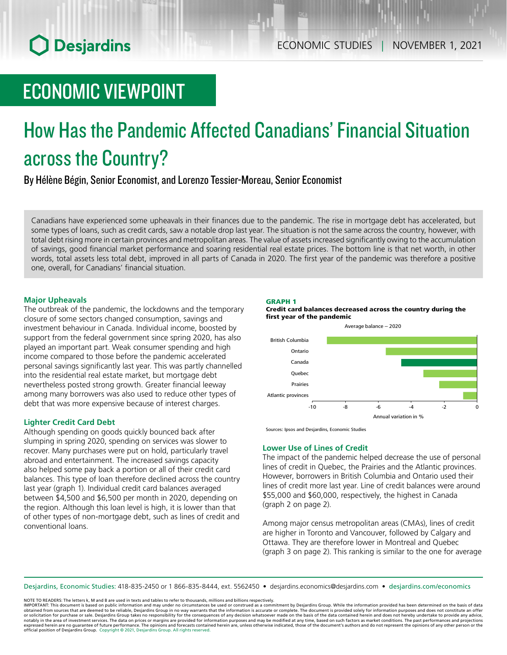## ECONOMIC VIEWPOINT

# How Has the Pandemic Affected Canadians' Financial Situation across the Country?

By Hélène Bégin, Senior Economist, and Lorenzo Tessier-Moreau, Senior Economist

Canadians have experienced some upheavals in their finances due to the pandemic. The rise in mortgage debt has accelerated, but some types of loans, such as credit cards, saw a notable drop last year. The situation is not the same across the country, however, with total debt rising more in certain provinces and metropolitan areas. The value of assets increased significantly owing to the accumulation of savings, good financial market performance and soaring residential real estate prices. The bottom line is that net worth, in other words, total assets less total debt, improved in all parts of Canada in 2020. The first year of the pandemic was therefore a positive one, overall, for Canadians' financial situation.

## **Major Upheavals**

The outbreak of the pandemic, the lockdowns and the temporary closure of some sectors changed consumption, savings and investment behaviour in Canada. Individual income, boosted by support from the federal government since spring 2020, has also played an important part. Weak consumer spending and high income compared to those before the pandemic accelerated personal savings significantly last year. This was partly channelled into the residential real estate market, but mortgage debt nevertheless posted strong growth. Greater financial leeway among many borrowers was also used to reduce other types of debt that was more expensive because of interest charges.

## **Lighter Credit Card Debt**

Although spending on goods quickly bounced back after slumping in spring 2020, spending on services was slower to recover. Many purchases were put on hold, particularly travel abroad and entertainment. The increased savings capacity also helped some pay back a portion or all of their credit card balances. This type of loan therefore declined across the country last year (graph 1). Individual credit card balances averaged between \$4,500 and \$6,500 per month in 2020, depending on the region. Although this loan level is high, it is lower than that of other types of non-mortgage debt, such as lines of credit and conventional loans.

### GRAPH 1



Average balance – 2020



Sources: Ipsos and Desjardins, Economic Studies

## **Lower Use of Lines of Credit**

The impact of the pandemic helped decrease the use of personal lines of credit in Quebec, the Prairies and the Atlantic provinces. However, borrowers in British Columbia and Ontario used their lines of credit more last year. Line of credit balances were around \$55,000 and \$60,000, respectively, the highest in Canada (graph 2 on page 2).

Among major census metropolitan areas (CMAs), lines of credit are higher in Toronto and Vancouver, followed by Calgary and Ottawa. They are therefore lower in Montreal and Quebec (graph 3 on page 2). This ranking is similar to the one for average

Desjardins, Economic Studies: 418-835-2450 or 1 866-835-8444, ext. 5562450 • desjardins.economics@desjardins.com • [desjardins.com/economics](http://desjardins.com/economics)

NOTE TO READERS: The letters k, M and B are used in texts and tables to refer to thousands, millions and billions respectively.

IMPORTANT: This document is based on public information and may under no circumstances be used or construed as a commitment by Desjardins Group. While the information provided has been determined on the basis of data obtained from sources that are deemed to be reliable, Desjardins Group in no way warrants that the information is accurate or complete. The document is provided solely for information purposes and does not constitute an of notably in the area of investment services. The data on prices or margins are provided for information purposes and may be modified at any time, based on such factors as market conditions. The past performances and project expressed herein are no guarantee of future performance. The opinions and forecasts contained herein are, unless otherwise indicated, those of the document's authors and do not represent the opinions of any other person or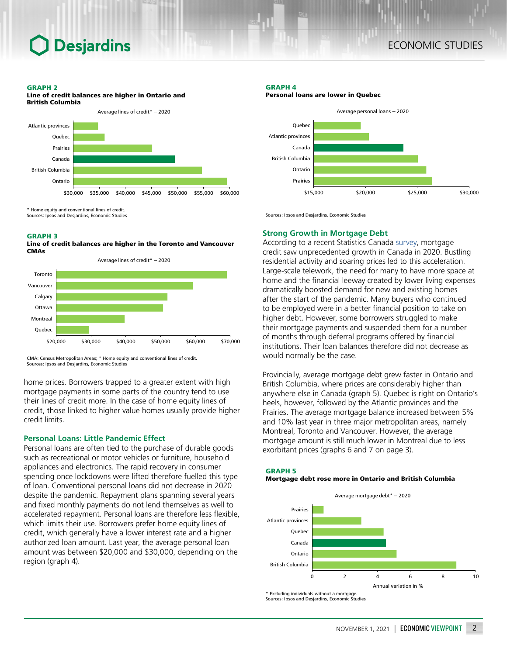#### GRAPH 2



Home equity and conventional lines of credit.

Sources: Ipsos and Desjardins, Economic Studies

### GRAPH 3





CMA: Census Metropolitan Areas; \* Home equity and conventional lines of credit. Sources: Ipsos and Desjardins, Economic Studies

home prices. Borrowers trapped to a greater extent with high mortgage payments in some parts of the country tend to use their lines of credit more. In the case of home equity lines of credit, those linked to higher value homes usually provide higher credit limits.

## **Personal Loans: Little Pandemic Effect**

Personal loans are often tied to the purchase of durable goods such as recreational or motor vehicles or furniture, household appliances and electronics. The rapid recovery in consumer spending once lockdowns were lifted therefore fuelled this type of loan. Conventional personal loans did not decrease in 2020 despite the pandemic. Repayment plans spanning several years and fixed monthly payments do not lend themselves as well to accelerated repayment. Personal loans are therefore less flexible, which limits their use. Borrowers prefer home equity lines of credit, which generally have a lower interest rate and a higher authorized loan amount. Last year, the average personal loan amount was between \$20,000 and \$30,000, depending on the region (graph 4).

## GRAPH 4

Personal loans are lower in Quebec



Sources: Ipsos and Desjardins, Economic Studies

### **Strong Growth in Mortgage Debt**

According to a recent Statistics Canada [survey](https://www150.statcan.gc.ca/n1/fr/pub/11-621-m/11-621-m2021004-eng.pdf?st=7YH8I16q), mortgage credit saw unprecedented growth in Canada in 2020. Bustling residential activity and soaring prices led to this acceleration. Large-scale telework, the need for many to have more space at home and the financial leeway created by lower living expenses dramatically boosted demand for new and existing homes after the start of the pandemic. Many buyers who continued to be employed were in a better financial position to take on higher debt. However, some borrowers struggled to make their mortgage payments and suspended them for a number of months through deferral programs offered by financial institutions. Their loan balances therefore did not decrease as would normally be the case.

Provincially, average mortgage debt grew faster in Ontario and British Columbia, where prices are considerably higher than anywhere else in Canada (graph 5). Quebec is right on Ontario's heels, however, followed by the Atlantic provinces and the Prairies. The average mortgage balance increased between 5% and 10% last year in three major metropolitan areas, namely Montreal, Toronto and Vancouver. However, the average mortgage amount is still much lower in Montreal due to less exorbitant prices (graphs 6 and 7 on page 3).

#### GRAPH 5

### Mortgage debt rose more in Ontario and British Columbia



\* Excluding individuals without a mortgage. Sources: Ipsos and Desjardins, Economic Studies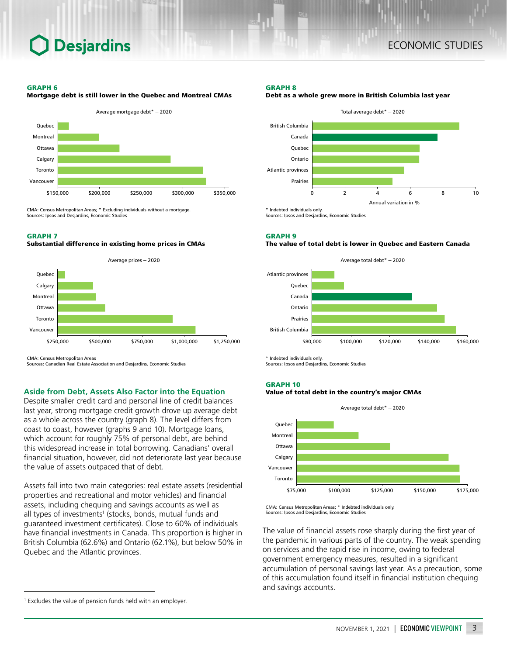## **Desjardins**

#### GRAPH 6



Mortgage debt is still lower in the Quebec and Montreal CMAs

CMA: Census Metropolitan Areas; \* Excluding individuals without a mortgage. Sources: Ipsos and Desjardins, Economic Studies

## GRAPH 7

## Substantial difference in existing home prices in CMAs



CMA: Census Metropolitan Areas

Sources: Canadian Real Estate Association and Desjardins, Economic Studies

## **Aside from Debt, Assets Also Factor into the Equation**

Despite smaller credit card and personal line of credit balances last year, strong mortgage credit growth drove up average debt as a whole across the country (graph 8). The level differs from coast to coast, however (graphs 9 and 10). Mortgage loans, which account for roughly 75% of personal debt, are behind this widespread increase in total borrowing. Canadians' overall financial situation, however, did not deteriorate last year because the value of assets outpaced that of debt.

Assets fall into two main categories: real estate assets (residential properties and recreational and motor vehicles) and financial assets, including chequing and savings accounts as well as all types of investments<sup>1</sup> (stocks, bonds, mutual funds and guaranteed investment certificates). Close to 60% of individuals have financial investments in Canada. This proportion is higher in British Columbia (62.6%) and Ontario (62.1%), but below 50% in Quebec and the Atlantic provinces.

#### GRAPH 8





Sources: Ipsos and Desjardins, Economic Studies

GRAPH 9

#### The value of total debt is lower in Quebec and Eastern Canada



Indebted individuals only. Sources: Ipsos and Desjardins, Economic Studies

#### GRAPH 10





CMA: Census Metropolitan Areas; \* Indebted individuals only. Sources: Ipsos and Desjardins, Economic Studies

The value of financial assets rose sharply during the first year of the pandemic in various parts of the country. The weak spending on services and the rapid rise in income, owing to federal government emergency measures, resulted in a significant accumulation of personal savings last year. As a precaution, some of this accumulation found itself in financial institution chequing and savings accounts.

<sup>1</sup> Excludes the value of pension funds held with an employer.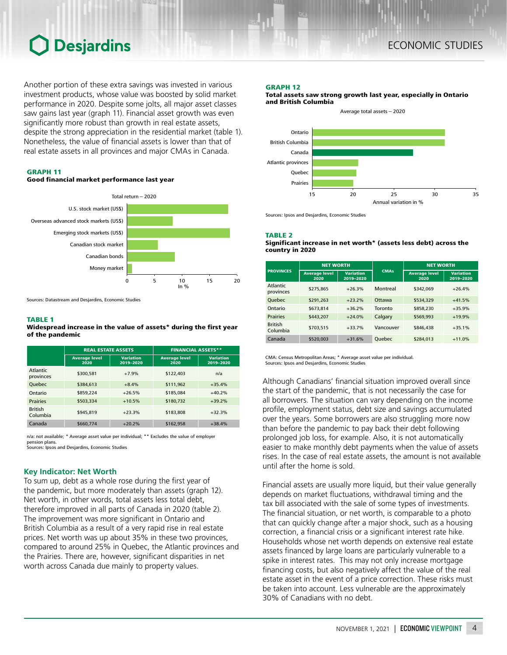## **Desjardins**

Another portion of these extra savings was invested in various investment products, whose value was boosted by solid market performance in 2020. Despite some jolts, all major asset classes saw gains last year (graph 11). Financial asset growth was even significantly more robust than growth in real estate assets, despite the strong appreciation in the residential market (table 1). Nonetheless, the value of financial assets is lower than that of real estate assets in all provinces and major CMAs in Canada.



## Good financial market performance last year



Sources: Datastream and Desjardins, Economic Studies

#### TABLE 1

#### Widespread increase in the value of assets\* during the first year of the pandemic

|                              | <b>REAL ESTATE ASSETS</b>    |                               | <b>FINANCIAL ASSETS**</b>    |                               |  |
|------------------------------|------------------------------|-------------------------------|------------------------------|-------------------------------|--|
|                              | <b>Average level</b><br>2020 | <b>Variation</b><br>2019-2020 | <b>Average level</b><br>2020 | <b>Variation</b><br>2019-2020 |  |
| <b>Atlantic</b><br>provinces | \$300,581                    | $+7.9%$                       | \$122,403                    | n/a                           |  |
| <b>Ouebec</b>                | \$384,613                    | $+8.4%$                       | \$111,962                    | $+35.4%$                      |  |
| Ontario                      | \$859.224                    | $+26.5%$                      | \$185,084                    | $+40.2%$                      |  |
| <b>Prairies</b>              | \$503.334                    | $+10.5%$                      | \$180,732                    | $+39.2%$                      |  |
| <b>British</b><br>Columbia   | \$945.819                    | $+23.3%$                      | \$183,808                    | $+32.3%$                      |  |
| Canada                       | \$660,774                    | $+20.2%$                      | \$162,958                    | $+38.4%$                      |  |

n/a: not available; \* Average asset value per individual; \*\* Excludes the value of employer pension plans. Sources: Ipsos and Desjardins, Economic Studies

## **Key Indicator: Net Worth**

To sum up, debt as a whole rose during the first year of the pandemic, but more moderately than assets (graph 12). Net worth, in other words, total assets less total debt, therefore improved in all parts of Canada in 2020 (table 2). The improvement was more significant in Ontario and British Columbia as a result of a very rapid rise in real estate prices. Net worth was up about 35% in these two provinces, compared to around 25% in Quebec, the Atlantic provinces and the Prairies. There are, however, significant disparities in net worth across Canada due mainly to property values.

#### GRAPH 12

Total assets saw strong growth last year, especially in Ontario and British Columbia



Sources: Ipsos and Desjardins, Economic Studies

TABLE 2

#### Significant increase in net worth\* (assets less debt) across the country in 2020

| <b>PROVINCES</b>             | <b>NET WORTH</b>             |                               |               | <b>NET WORTH</b>             |                               |
|------------------------------|------------------------------|-------------------------------|---------------|------------------------------|-------------------------------|
|                              | <b>Average level</b><br>2020 | <b>Variation</b><br>2019-2020 | <b>CMAs</b>   | <b>Average level</b><br>2020 | <b>Variation</b><br>2019-2020 |
| <b>Atlantic</b><br>provinces | \$275,865                    | $+26.3%$                      | Montreal      | \$342,069                    | $+26.4%$                      |
| <b>Ouebec</b>                | \$291.263                    | $+23.2%$                      | Ottawa        | \$534.329                    | $+41.5%$                      |
| Ontario                      | \$673,814                    | $+36.2%$                      | Toronto       | \$858,230                    | $+35.9%$                      |
| <b>Prairies</b>              | \$443,207                    | $+24.0%$                      | Calgary       | \$569,993                    | $+19.9%$                      |
| <b>British</b><br>Columbia   | \$703.515                    | $+33.7%$                      | Vancouver     | \$846,438                    | $+35.1%$                      |
| Canada                       | \$520,003                    | $+31.6%$                      | <b>Ouebec</b> | \$284,013                    | $+11.0%$                      |

CMA: Census Metropolitan Areas; \* Average asset value per individual. Sources: Ipsos and Desjardins, Economic Studies

Although Canadians' financial situation improved overall since the start of the pandemic, that is not necessarily the case for all borrowers. The situation can vary depending on the income profile, employment status, debt size and savings accumulated over the years. Some borrowers are also struggling more now than before the pandemic to pay back their debt following prolonged job loss, for example. Also, it is not automatically easier to make monthly debt payments when the value of assets rises. In the case of real estate assets, the amount is not available until after the home is sold.

Financial assets are usually more liquid, but their value generally depends on market fluctuations, withdrawal timing and the tax bill associated with the sale of some types of investments. The financial situation, or net worth, is comparable to a photo that can quickly change after a major shock, such as a housing correction, a financial crisis or a significant interest rate hike. Households whose net worth depends on extensive real estate assets financed by large loans are particularly vulnerable to a spike in interest rates. This may not only increase mortgage financing costs, but also negatively affect the value of the real estate asset in the event of a price correction. These risks must be taken into account. Less vulnerable are the approximately 30% of Canadians with no debt.